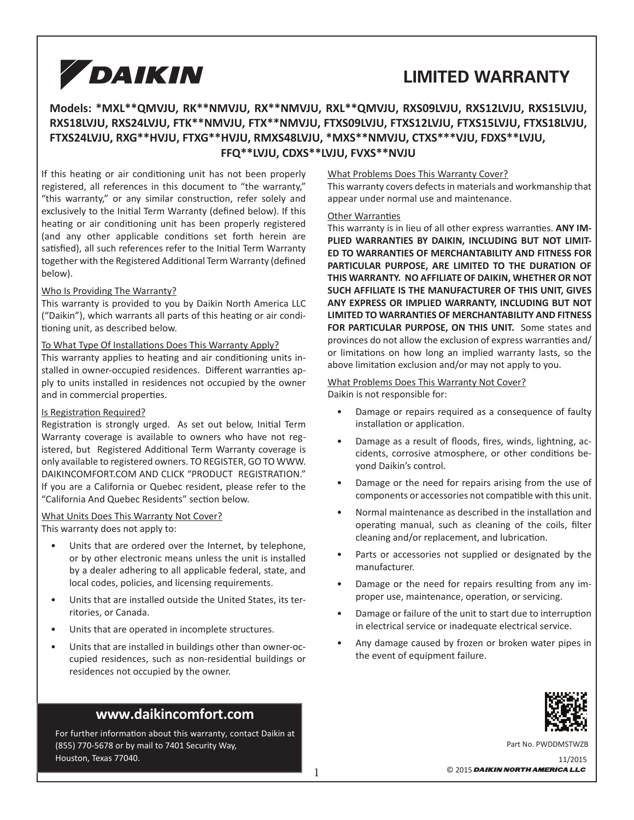# **LIMITED WARRANTY**

## **Models: \*MXL\*\*QMVJU, RK\*\*NMVJU, RX\*\*NMVJU, RXL\*\*QMVJU, RXS09LVJU, RXS12LVJU, RXS15LVJU, RXS18LVJU, RXS24LVJU, FTK\*\*NMVJU, FTX\*\*NMVJU, FTXS09LVJU, FTXS12LVJU, FTXS15LVJU, FTXS18LVJU, FTXS24LVJU, RXG\*\*HVJU, FTXG\*\*HVJU, RMXS48LVJU, \*MXS\*\*NMVJU, CTXS\*\*\*VJU, FDXS\*\*LVJU, FFQ\*\*LVJU, CDXS\*\*LVJU, FVXS\*\*NVJU**

If this heating or air conditioning unit has not been properly registered, all references in this document to "the warranty," "this warranty," or any similar construction, refer solely and exclusively to the Initial Term Warranty (defined below). If this heating or air conditioning unit has been properly registered (and any other applicable conditions set forth herein are satisfied), all such references refer to the Initial Term Warranty together with the Registered Additional Term Warranty (defined below).

#### Who Is Providing The Warranty?

This warranty is provided to you by Daikin North America LLC ("Daikin"), which warrants all parts of this heating or air conditioning unit, as described below.

#### To What Type Of Installations Does This Warranty Apply?

This warranty applies to heating and air conditioning units installed in owner-occupied residences. Different warranties apply to units installed in residences not occupied by the owner and in commercial properties.

#### Is Registration Required?

Registration is strongly urged. As set out below, Initial Term Warranty coverage is available to owners who have not registered, but Registered Additional Term Warranty coverage is only available to registered owners. TO REGISTER, GO TO WWW. DAIKINCOMFORT.COM AND CLICK "PRODUCT REGISTRATION." If you are a California or Quebec resident, please refer to the "California And Quebec Residents" section below.

#### What Units Does This Warranty Not Cover? This warranty does not apply to:

- Units that are ordered over the Internet, by telephone, or by other electronic means unless the unit is installed by a dealer adhering to all applicable federal, state, and local codes, policies, and licensing requirements.
- Units that are installed outside the United States, its territories, or Canada.
- Units that are operated in incomplete structures.
- Units that are installed in buildings other than owner-occupied residences, such as non-residential buildings or residences not occupied by the owner.

## **www.daikincomfort.com**

For further information about this warranty, contact Daikin at (855) 770-5678 or by mail to 7401 Security Way, Houston, Texas 77040.

#### What Problems Does This Warranty Cover?

This warranty covers defects in materials and workmanship that appear under normal use and maintenance.

#### **Other Warranties**

This warranty is in lieu of all other express warranties. ANY IM-**PLIED WARRANTIES BY DAIKIN, INCLUDING BUT NOT LIMIT-ED TO WARRANTIES OF MERCHANTABILITY AND FITNESS FOR PARTICULAR PURPOSE, ARE LIMITED TO THE DURATION OF THIS WARRANTY. NO AFFILIATE OF DAIKIN, WHETHER OR NOT SUCH AFFILIATE IS THE MANUFACTURER OF THIS UNIT, GIVES ANY EXPRESS OR IMPLIED WARRANTY, INCLUDING BUT NOT LIMITED TO WARRANTIES OF MERCHANTABILITY AND FITNESS FOR PARTICULAR PURPOSE, ON THIS UNIT.** Some states and provinces do not allow the exclusion of express warranties and/ or limitations on how long an implied warranty lasts, so the above limitation exclusion and/or may not apply to you.

#### What Problems Does This Warranty Not Cover?

Daikin is not responsible for:

- Damage or repairs required as a consequence of faulty installation or application.
- Damage as a result of floods, fires, winds, lightning, accidents, corrosive atmosphere, or other conditions beyond Daikin's control.
- Damage or the need for repairs arising from the use of components or accessories not compatible with this unit.
- Normal maintenance as described in the installation and operating manual, such as cleaning of the coils, filter cleaning and/or replacement, and lubrication.
- Parts or accessories not supplied or designated by the manufacturer.
- Damage or the need for repairs resulting from any improper use, maintenance, operation, or servicing.
- Damage or failure of the unit to start due to interruption in electrical service or inadequate electrical service.
- Any damage caused by frozen or broken water pipes in the event of equipment failure.



11/2015 Part No. PWDDMSTWZB  $\overline{1}$   $\overline{0}$  2015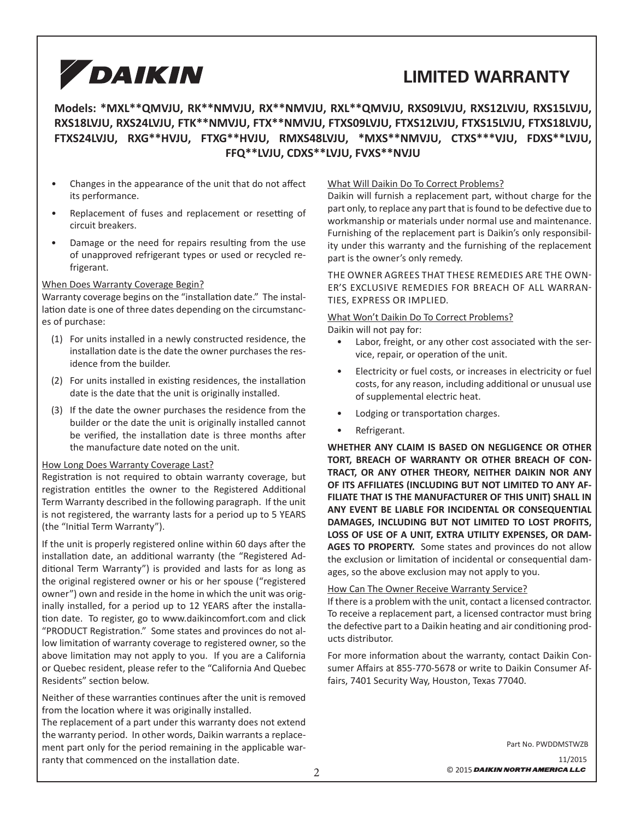# **LIMITED WARRANTY**

## **Models: \*MXL\*\*QMVJU, RK\*\*NMVJU, RX\*\*NMVJU, RXL\*\*QMVJU, RXS09LVJU, RXS12LVJU, RXS15LVJU, RXS18LVJU, RXS24LVJU, FTK\*\*NMVJU, FTX\*\*NMVJU, FTXS09LVJU, FTXS12LVJU, FTXS15LVJU, FTXS18LVJU, FTXS24LVJU, RXG\*\*HVJU, FTXG\*\*HVJU, RMXS48LVJU, \*MXS\*\*NMVJU, CTXS\*\*\*VJU, FDXS\*\*LVJU, FFQ\*\*LVJU, CDXS\*\*LVJU, FVXS\*\*NVJU**

- Changes in the appearance of the unit that do not affect its performance.
- Replacement of fuses and replacement or resetting of circuit breakers.
- Damage or the need for repairs resulting from the use of unapproved refrigerant types or used or recycled refrigerant.

#### When Does Warranty Coverage Begin?

Warranty coverage begins on the "installation date." The installation date is one of three dates depending on the circumstances of purchase:

- (1) For units installed in a newly constructed residence, the installation date is the date the owner purchases the residence from the builder.
- (2) For units installed in existing residences, the installation date is the date that the unit is originally installed.
- (3) If the date the owner purchases the residence from the builder or the date the unit is originally installed cannot be verified, the installation date is three months after the manufacture date noted on the unit.

#### How Long Does Warranty Coverage Last?

Registration is not required to obtain warranty coverage, but registration entitles the owner to the Registered Additional Term Warranty described in the following paragraph. If the unit is not registered, the warranty lasts for a period up to 5 YEARS (the "Initial Term Warranty").

If the unit is properly registered online within 60 days after the installation date, an additional warranty (the "Registered Additional Term Warranty") is provided and lasts for as long as the original registered owner or his or her spouse ("registered owner") own and reside in the home in which the unit was originally installed, for a period up to 12 YEARS after the installation date. To register, go to www.daikincomfort.com and click "PRODUCT Registration." Some states and provinces do not allow limitation of warranty coverage to registered owner, so the above limitation may not apply to you. If you are a California or Quebec resident, please refer to the "California And Quebec Residents" section below.

Neither of these warranties continues after the unit is removed from the location where it was originally installed.

The replacement of a part under this warranty does not extend the warranty period. In other words, Daikin warrants a replacement part only for the period remaining in the applicable warranty that commenced on the installation date.

#### What Will Daikin Do To Correct Problems?

Daikin will furnish a replacement part, without charge for the part only, to replace any part that is found to be defective due to workmanship or materials under normal use and maintenance. Furnishing of the replacement part is Daikin's only responsibility under this warranty and the furnishing of the replacement part is the owner's only remedy.

THE OWNER AGREES THAT THESE REMEDIES ARE THE OWN-ER'S EXCLUSIVE REMEDIES FOR BREACH OF ALL WARRAN-TIES, EXPRESS OR IMPLIED.

#### What Won't Daikin Do To Correct Problems?

Daikin will not pay for:

- Labor, freight, or any other cost associated with the service, repair, or operation of the unit.
- Electricity or fuel costs, or increases in electricity or fuel costs, for any reason, including additional or unusual use of supplemental electric heat.
- Lodging or transportation charges.
- Refrigerant.

**WHETHER ANY CLAIM IS BASED ON NEGLIGENCE OR OTHER TORT, BREACH OF WARRANTY OR OTHER BREACH OF CON-TRACT, OR ANY OTHER THEORY, NEITHER DAIKIN NOR ANY OF ITS AFFILIATES (INCLUDING BUT NOT LIMITED TO ANY AF-FILIATE THAT IS THE MANUFACTURER OF THIS UNIT) SHALL IN ANY EVENT BE LIABLE FOR INCIDENTAL OR CONSEQUENTIAL DAMAGES, INCLUDING BUT NOT LIMITED TO LOST PROFITS, LOSS OF USE OF A UNIT, EXTRA UTILITY EXPENSES, OR DAM-AGES TO PROPERTY.** Some states and provinces do not allow the exclusion or limitation of incidental or consequential damages, so the above exclusion may not apply to you.

#### How Can The Owner Receive Warranty Service?

If there is a problem with the unit, contact a licensed contractor. To receive a replacement part, a licensed contractor must bring the defective part to a Daikin heating and air conditioning products distributor.

For more information about the warranty, contact Daikin Consumer Affairs at 855-770-5678 or write to Daikin Consumer Affairs, 7401 Security Way, Houston, Texas 77040.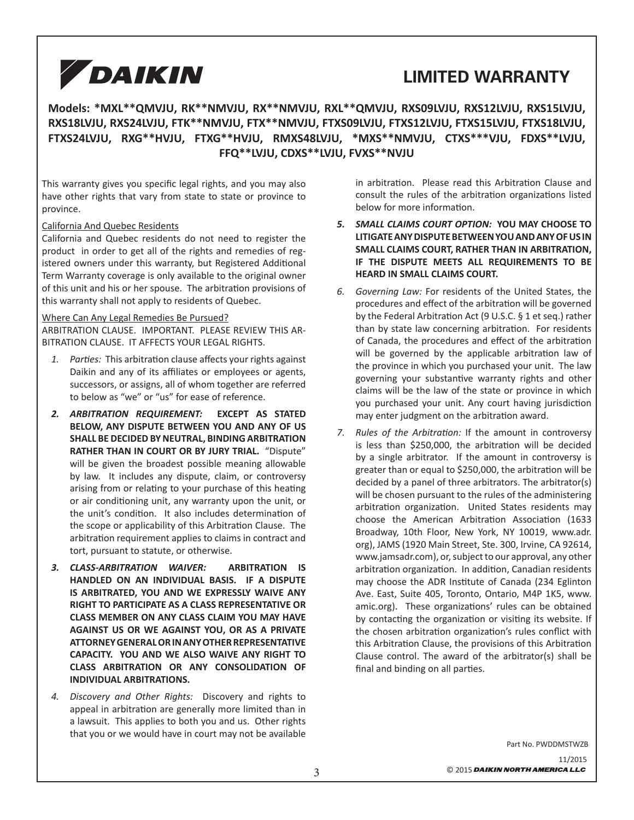# **LIMITED WARRANTY**

## **Models: \*MXL\*\*QMVJU, RK\*\*NMVJU, RX\*\*NMVJU, RXL\*\*QMVJU, RXS09LVJU, RXS12LVJU, RXS15LVJU, RXS18LVJU, RXS24LVJU, FTK\*\*NMVJU, FTX\*\*NMVJU, FTXS09LVJU, FTXS12LVJU, FTXS15LVJU, FTXS18LVJU, FTXS24LVJU, RXG\*\*HVJU, FTXG\*\*HVJU, RMXS48LVJU, \*MXS\*\*NMVJU, CTXS\*\*\*VJU, FDXS\*\*LVJU, FFQ\*\*LVJU, CDXS\*\*LVJU, FVXS\*\*NVJU**

This warranty gives you specific legal rights, and you may also have other rights that vary from state to state or province to province.

California And Quebec Residents

California and Quebec residents do not need to register the product in order to get all of the rights and remedies of registered owners under this warranty, but Registered Additional Term Warranty coverage is only available to the original owner of this unit and his or her spouse. The arbitration provisions of this warranty shall not apply to residents of Quebec.

#### Where Can Any Legal Remedies Be Pursued?

ARBITRATION CLAUSE. IMPORTANT. PLEASE REVIEW THIS AR-BITRATION CLAUSE. IT AFFECTS YOUR LEGAL RIGHTS.

- 1. Parties: This arbitration clause affects your rights against Daikin and any of its affiliates or employees or agents, successors, or assigns, all of whom together are referred to below as "we" or "us" for ease of reference.
- *2. ARBITRATION REQUIREMENT:* **EXCEPT AS STATED BELOW, ANY DISPUTE BETWEEN YOU AND ANY OF US SHALL BE DECIDED BY NEUTRAL, BINDING ARBITRATION RATHER THAN IN COURT OR BY JURY TRIAL.** "Dispute" will be given the broadest possible meaning allowable by law. It includes any dispute, claim, or controversy arising from or relating to your purchase of this heating or air conditioning unit, any warranty upon the unit, or the unit's condition. It also includes determination of the scope or applicability of this Arbitration Clause. The arbitration requirement applies to claims in contract and tort, pursuant to statute, or otherwise.
- *3. CLASS-ARBITRATION WAIVER:* **ARBITRATION IS HANDLED ON AN INDIVIDUAL BASIS. IF A DISPUTE IS ARBITRATED, YOU AND WE EXPRESSLY WAIVE ANY RIGHT TO PARTICIPATE AS A CLASS REPRESENTATIVE OR CLASS MEMBER ON ANY CLASS CLAIM YOU MAY HAVE AGAINST US OR WE AGAINST YOU, OR AS A PRIVATE ATTORNEY GENERAL OR IN ANY OTHER REPRESENTATIVE CAPACITY. YOU AND WE ALSO WAIVE ANY RIGHT TO CLASS ARBITRATION OR ANY CONSOLIDATION OF INDIVIDUAL ARBITRATIONS.**
- *4. Discovery and Other Rights:* Discovery and rights to appeal in arbitration are generally more limited than in a lawsuit. This applies to both you and us. Other rights that you or we would have in court may not be available

in arbitration. Please read this Arbitration Clause and consult the rules of the arbitration organizations listed below for more information.

- *5. SMALL CLAIMS COURT OPTION:* **YOU MAY CHOOSE TO LITIGATE ANY DISPUTE BETWEEN YOU AND ANY OF US IN SMALL CLAIMS COURT, RATHER THAN IN ARBITRATION, IF THE DISPUTE MEETS ALL REQUIREMENTS TO BE HEARD IN SMALL CLAIMS COURT.**
- *6. Governing Law:* For residents of the United States, the procedures and effect of the arbitration will be governed by the Federal Arbitration Act (9 U.S.C. § 1 et seq.) rather than by state law concerning arbitration. For residents of Canada, the procedures and effect of the arbitration will be governed by the applicable arbitration law of the province in which you purchased your unit. The law governing your substantive warranty rights and other claims will be the law of the state or province in which you purchased your unit. Any court having jurisdiction may enter judgment on the arbitration award.
- *7. Rules of the Arbitration:* If the amount in controversy is less than \$250,000, the arbitration will be decided by a single arbitrator. If the amount in controversy is greater than or equal to \$250,000, the arbitration will be decided by a panel of three arbitrators. The arbitrator(s) will be chosen pursuant to the rules of the administering arbitration organization. United States residents may choose the American Arbitration Association (1633 Broadway, 10th Floor, New York, NY 10019, www.adr. org), JAMS (1920 Main Street, Ste. 300, Irvine, CA 92614, www.jamsadr.com), or, subject to our approval, any other arbitration organization. In addition, Canadian residents may choose the ADR Institute of Canada (234 Eglinton Ave. East, Suite 405, Toronto, Ontario, M4P 1K5, www. amic.org). These organizations' rules can be obtained by contacting the organization or visiting its website. If the chosen arbitration organization's rules conflict with this Arbitration Clause, the provisions of this Arbitration Clause control. The award of the arbitrator(s) shall be final and binding on all parties.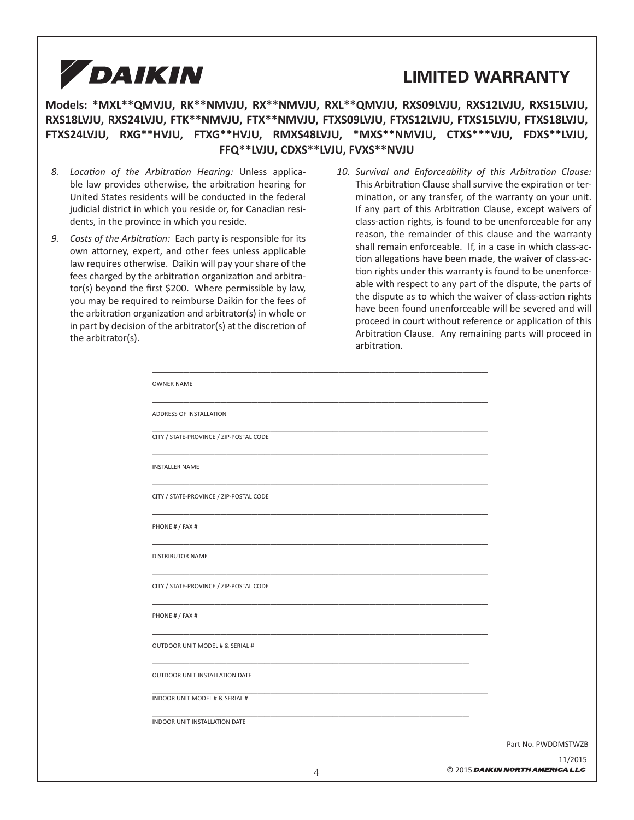

## **LIMITED WARRANTY**

## **Models: \*MXL\*\*QMVJU, RK\*\*NMVJU, RX\*\*NMVJU, RXL\*\*QMVJU, RXS09LVJU, RXS12LVJU, RXS15LVJU, RXS18LVJU, RXS24LVJU, FTK\*\*NMVJU, FTX\*\*NMVJU, FTXS09LVJU, FTXS12LVJU, FTXS15LVJU, FTXS18LVJU, FTXS24LVJU, RXG\*\*HVJU, FTXG\*\*HVJU, RMXS48LVJU, \*MXS\*\*NMVJU, CTXS\*\*\*VJU, FDXS\*\*LVJU, FFQ\*\*LVJU, CDXS\*\*LVJU, FVXS\*\*NVJU**

- 8. Location of the Arbitration Hearing: Unless applicable law provides otherwise, the arbitration hearing for United States residents will be conducted in the federal judicial district in which you reside or, for Canadian residents, in the province in which you reside.
- 9. Costs of the Arbitration: Each party is responsible for its own attorney, expert, and other fees unless applicable law requires otherwise. Daikin will pay your share of the fees charged by the arbitration organization and arbitra $tor(s)$  beyond the first \$200. Where permissible by law, you may be required to reimburse Daikin for the fees of the arbitration organization and arbitrator(s) in whole or in part by decision of the arbitrator(s) at the discretion of the arbitrator(s).
- 10. Survival and Enforceability of this Arbitration Clause: This Arbitration Clause shall survive the expiration or termination, or any transfer, of the warranty on your unit. If any part of this Arbitration Clause, except waivers of class-action rights, is found to be unenforceable for any reason, the remainder of this clause and the warranty shall remain enforceable. If, in a case in which class-action allegations have been made, the waiver of class-action rights under this warranty is found to be unenforceable with respect to any part of the dispute, the parts of the dispute as to which the waiver of class-action rights have been found unenforceable will be severed and will proceed in court without reference or application of this Arbitration Clause. Any remaining parts will proceed in arbitration.

| <b>OWNER NAME</b>                       |                     |
|-----------------------------------------|---------------------|
| ADDRESS OF INSTALLATION                 |                     |
| CITY / STATE-PROVINCE / ZIP-POSTAL CODE |                     |
| <b>INSTALLER NAME</b>                   |                     |
| CITY / STATE-PROVINCE / ZIP-POSTAL CODE |                     |
| PHONE # / FAX #                         |                     |
| <b>DISTRIBUTOR NAME</b>                 |                     |
| CITY / STATE-PROVINCE / ZIP-POSTAL CODE |                     |
| PHONE # / FAX #                         |                     |
| OUTDOOR UNIT MODEL # & SERIAL #         |                     |
| OUTDOOR UNIT INSTALLATION DATE          |                     |
| INDOOR UNIT MODEL # & SERIAL #          |                     |
| INDOOR UNIT INSTALLATION DATE           |                     |
|                                         | Part No. PWDDMSTWZB |
|                                         | 11/2015             |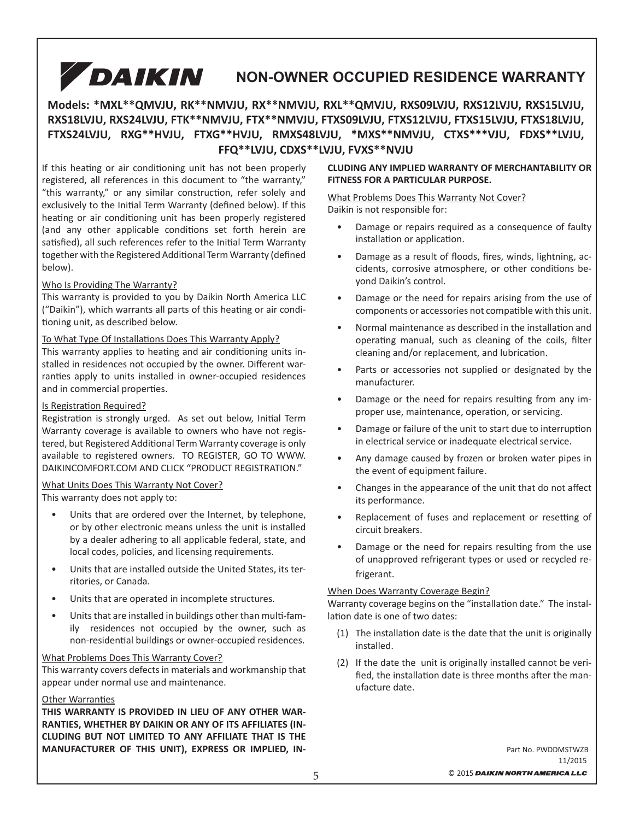## DAIKIN **MULTI-FAMILY RESIDENCE WARRANTY NON-OWNER OCCUPIED RESIDENCE WARRANTY**

## **Models: \*MXL\*\*QMVJU, RK\*\*NMVJU, RX\*\*NMVJU, RXL\*\*QMVJU, RXS09LVJU, RXS12LVJU, RXS15LVJU, RXS18LVJU, RXS24LVJU, FTK\*\*NMVJU, FTX\*\*NMVJU, FTXS09LVJU, FTXS12LVJU, FTXS15LVJU, FTXS18LVJU, FTXS24LVJU, RXG\*\*HVJU, FTXG\*\*HVJU, RMXS48LVJU, \*MXS\*\*NMVJU, CTXS\*\*\*VJU, FDXS\*\*LVJU, FFQ\*\*LVJU, CDXS\*\*LVJU, FVXS\*\*NVJU**

If this heating or air conditioning unit has not been properly registered, all references in this document to "the warranty," "this warranty," or any similar construction, refer solely and exclusively to the Initial Term Warranty (defined below). If this heating or air conditioning unit has been properly registered (and any other applicable conditions set forth herein are satisfied), all such references refer to the Initial Term Warranty together with the Registered Additional Term Warranty (defined below).

#### Who Is Providing The Warranty?

This warranty is provided to you by Daikin North America LLC ("Daikin"), which warrants all parts of this heating or air conditioning unit, as described below.

#### To What Type Of Installations Does This Warranty Apply?

This warranty applies to heating and air conditioning units installed in residences not occupied by the owner. Different warranties apply to units installed in owner-occupied residences and in commercial properties.

#### Is Registration Required?

Registration is strongly urged. As set out below, Initial Term Warranty coverage is available to owners who have not registered, but Registered Additional Term Warranty coverage is only available to registered owners. TO REGISTER, GO TO WWW. DAIKINCOMFORT.COM AND CLICK "PRODUCT REGISTRATION."

#### What Units Does This Warranty Not Cover?

This warranty does not apply to:

- Units that are ordered over the Internet, by telephone, or by other electronic means unless the unit is installed by a dealer adhering to all applicable federal, state, and local codes, policies, and licensing requirements.
- Units that are installed outside the United States, its territories, or Canada.
- Units that are operated in incomplete structures.
- Units that are installed in buildings other than multi-family residences not occupied by the owner, such as non-residential buildings or owner-occupied residences.

#### What Problems Does This Warranty Cover?

This warranty covers defects in materials and workmanship that appear under normal use and maintenance.

#### **Other Warranties**

**THIS WARRANTY IS PROVIDED IN LIEU OF ANY OTHER WAR-RANTIES, WHETHER BY DAIKIN OR ANY OF ITS AFFILIATES (IN-CLUDING BUT NOT LIMITED TO ANY AFFILIATE THAT IS THE MANUFACTURER OF THIS UNIT), EXPRESS OR IMPLIED, IN-**

#### **CLUDING ANY IMPLIED WARRANTY OF MERCHANTABILITY OR FITNESS FOR A PARTICULAR PURPOSE.**

#### What Problems Does This Warranty Not Cover? Daikin is not responsible for:

- Damage or repairs required as a consequence of faulty installation or application.
- Damage as a result of floods, fires, winds, lightning, accidents, corrosive atmosphere, or other conditions beyond Daikin's control.
- Damage or the need for repairs arising from the use of components or accessories not compatible with this unit.
- Normal maintenance as described in the installation and operating manual, such as cleaning of the coils, filter cleaning and/or replacement, and lubrication.
- Parts or accessories not supplied or designated by the manufacturer.
- Damage or the need for repairs resulting from any improper use, maintenance, operation, or servicing.
- Damage or failure of the unit to start due to interruption in electrical service or inadequate electrical service.
- Any damage caused by frozen or broken water pipes in the event of equipment failure.
- Changes in the appearance of the unit that do not affect its performance.
- Replacement of fuses and replacement or resetting of circuit breakers.
- Damage or the need for repairs resulting from the use of unapproved refrigerant types or used or recycled refrigerant.

#### When Does Warranty Coverage Begin?

Warranty coverage begins on the "installation date." The installation date is one of two dates:

- (1) The installation date is the date that the unit is originally installed.
- (2) If the date the unit is originally installed cannot be verified, the installation date is three months after the manufacture date.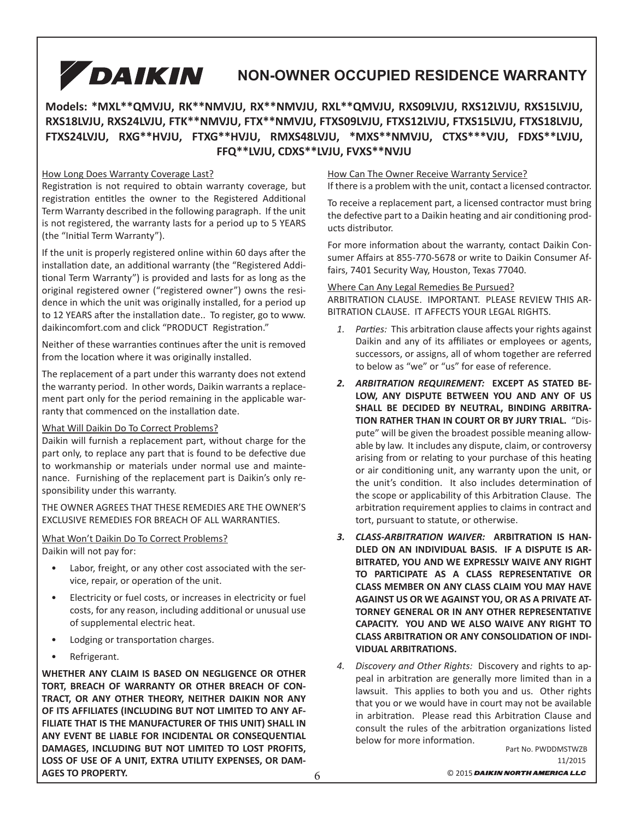## DAIKIN **NON-OWNER OCCUPIED RESIDENCE WARRANTY**

## **Models: \*MXL\*\*QMVJU, RK\*\*NMVJU, RX\*\*NMVJU, RXL\*\*QMVJU, RXS09LVJU, RXS12LVJU, RXS15LVJU, RXS18LVJU, RXS24LVJU, FTK\*\*NMVJU, FTX\*\*NMVJU, FTXS09LVJU, FTXS12LVJU, FTXS15LVJU, FTXS18LVJU, FTXS24LVJU, RXG\*\*HVJU, FTXG\*\*HVJU, RMXS48LVJU, \*MXS\*\*NMVJU, CTXS\*\*\*VJU, FDXS\*\*LVJU, FFQ\*\*LVJU, CDXS\*\*LVJU, FVXS\*\*NVJU**

#### How Long Does Warranty Coverage Last?

Registration is not required to obtain warranty coverage, but registration entitles the owner to the Registered Additional Term Warranty described in the following paragraph. If the unit is not registered, the warranty lasts for a period up to 5 YEARS (the "Initial Term Warranty").

If the unit is properly registered online within 60 days after the installation date, an additional warranty (the "Registered Additional Term Warranty") is provided and lasts for as long as the original registered owner ("registered owner") owns the residence in which the unit was originally installed, for a period up to 12 YEARS after the installation date.. To register, go to www. daikincomfort.com and click "PRODUCT Registration."

Neither of these warranties continues after the unit is removed from the location where it was originally installed.

The replacement of a part under this warranty does not extend the warranty period. In other words, Daikin warrants a replacement part only for the period remaining in the applicable warranty that commenced on the installation date.

#### What Will Daikin Do To Correct Problems?

Daikin will furnish a replacement part, without charge for the part only, to replace any part that is found to be defective due to workmanship or materials under normal use and maintenance. Furnishing of the replacement part is Daikin's only responsibility under this warranty.

THE OWNER AGREES THAT THESE REMEDIES ARE THE OWNER'S EXCLUSIVE REMEDIES FOR BREACH OF ALL WARRANTIES.

#### What Won't Daikin Do To Correct Problems?

Daikin will not pay for:

- Labor, freight, or any other cost associated with the service, repair, or operation of the unit.
- Electricity or fuel costs, or increases in electricity or fuel costs, for any reason, including additional or unusual use of supplemental electric heat.
- Lodging or transportation charges.
- Refrigerant.

**WHETHER ANY CLAIM IS BASED ON NEGLIGENCE OR OTHER TORT, BREACH OF WARRANTY OR OTHER BREACH OF CON-TRACT, OR ANY OTHER THEORY, NEITHER DAIKIN NOR ANY OF ITS AFFILIATES (INCLUDING BUT NOT LIMITED TO ANY AF-FILIATE THAT IS THE MANUFACTURER OF THIS UNIT) SHALL IN ANY EVENT BE LIABLE FOR INCIDENTAL OR CONSEQUENTIAL DAMAGES, INCLUDING BUT NOT LIMITED TO LOST PROFITS, LOSS OF USE OF A UNIT, EXTRA UTILITY EXPENSES, OR DAM-AGES TO PROPERTY.**

#### How Can The Owner Receive Warranty Service?

If there is a problem with the unit, contact a licensed contractor.

To receive a replacement part, a licensed contractor must bring the defective part to a Daikin heating and air conditioning products distributor.

For more information about the warranty, contact Daikin Consumer Affairs at 855-770-5678 or write to Daikin Consumer Affairs, 7401 Security Way, Houston, Texas 77040.

#### Where Can Any Legal Remedies Be Pursued?

ARBITRATION CLAUSE. IMPORTANT. PLEASE REVIEW THIS AR-BITRATION CLAUSE. IT AFFECTS YOUR LEGAL RIGHTS.

- 1. Parties: This arbitration clause affects your rights against Daikin and any of its affiliates or employees or agents, successors, or assigns, all of whom together are referred to below as "we" or "us" for ease of reference.
- *2. ARBITRATION REQUIREMENT:* **EXCEPT AS STATED BE-LOW, ANY DISPUTE BETWEEN YOU AND ANY OF US SHALL BE DECIDED BY NEUTRAL, BINDING ARBITRA-TION RATHER THAN IN COURT OR BY JURY TRIAL.** "Dispute" will be given the broadest possible meaning allowable by law. It includes any dispute, claim, or controversy arising from or relating to your purchase of this heating or air conditioning unit, any warranty upon the unit, or the unit's condition. It also includes determination of the scope or applicability of this Arbitration Clause. The arbitration requirement applies to claims in contract and tort, pursuant to statute, or otherwise.
- *3. CLASS-ARBITRATION WAIVER:* **ARBITRATION IS HAN-DLED ON AN INDIVIDUAL BASIS. IF A DISPUTE IS AR-BITRATED, YOU AND WE EXPRESSLY WAIVE ANY RIGHT TO PARTICIPATE AS A CLASS REPRESENTATIVE OR CLASS MEMBER ON ANY CLASS CLAIM YOU MAY HAVE AGAINST US OR WE AGAINST YOU, OR AS A PRIVATE AT-TORNEY GENERAL OR IN ANY OTHER REPRESENTATIVE CAPACITY. YOU AND WE ALSO WAIVE ANY RIGHT TO CLASS ARBITRATION OR ANY CONSOLIDATION OF INDI-VIDUAL ARBITRATIONS.**
- *4. Discovery and Other Rights:* Discovery and rights to appeal in arbitration are generally more limited than in a lawsuit. This applies to both you and us. Other rights that you or we would have in court may not be available in arbitration. Please read this Arbitration Clause and consult the rules of the arbitration organizations listed below for more information.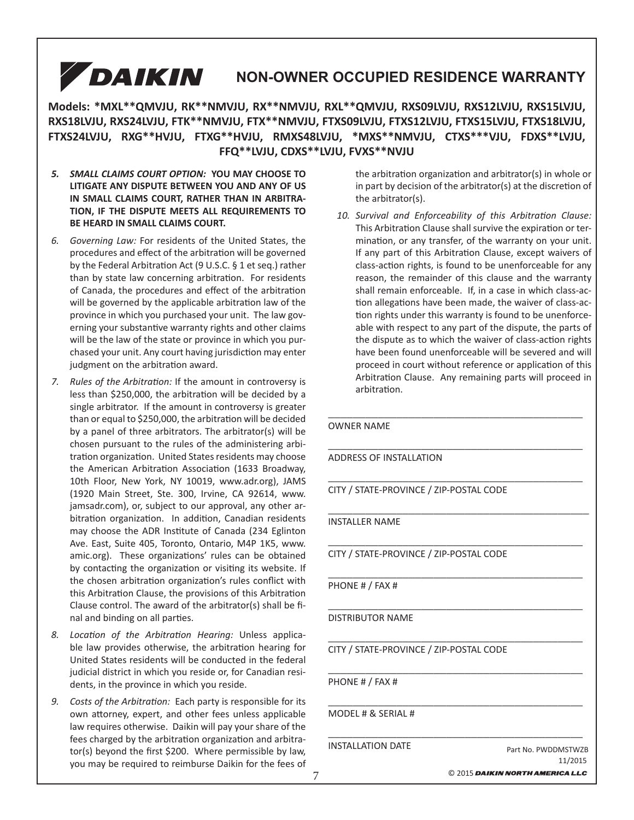## DAIKIN **MULTI-FAMILY RESIDENCE WARRANTY NON-OWNER OCCUPIED RESIDENCE WARRANTY**

**Models: \*MXL\*\*QMVJU, RK\*\*NMVJU, RX\*\*NMVJU, RXL\*\*QMVJU, RXS09LVJU, RXS12LVJU, RXS15LVJU, RXS18LVJU, RXS24LVJU, FTK\*\*NMVJU, FTX\*\*NMVJU, FTXS09LVJU, FTXS12LVJU, FTXS15LVJU, FTXS18LVJU, FTXS24LVJU, RXG\*\*HVJU, FTXG\*\*HVJU, RMXS48LVJU, \*MXS\*\*NMVJU, CTXS\*\*\*VJU, FDXS\*\*LVJU, FFQ\*\*LVJU, CDXS\*\*LVJU, FVXS\*\*NVJU**

- *5. SMALL CLAIMS COURT OPTION:* **YOU MAY CHOOSE TO LITIGATE ANY DISPUTE BETWEEN YOU AND ANY OF US IN SMALL CLAIMS COURT, RATHER THAN IN ARBITRA-TION, IF THE DISPUTE MEETS ALL REQUIREMENTS TO BE HEARD IN SMALL CLAIMS COURT.**
- *6. Governing Law:* For residents of the United States, the procedures and effect of the arbitration will be governed by the Federal Arbitration Act (9 U.S.C. § 1 et seq.) rather than by state law concerning arbitration. For residents of Canada, the procedures and effect of the arbitration will be governed by the applicable arbitration law of the province in which you purchased your unit. The law governing your substantive warranty rights and other claims will be the law of the state or province in which you purchased your unit. Any court having jurisdiction may enter judgment on the arbitration award.
- *7.* Rules of the Arbitration: If the amount in controversy is less than \$250,000, the arbitration will be decided by a single arbitrator. If the amount in controversy is greater than or equal to \$250,000, the arbitration will be decided by a panel of three arbitrators. The arbitrator(s) will be chosen pursuant to the rules of the administering arbitration organization. United States residents may choose the American Arbitration Association (1633 Broadway, 10th Floor, New York, NY 10019, www.adr.org), JAMS (1920 Main Street, Ste. 300, Irvine, CA 92614, www. jamsadr.com), or, subject to our approval, any other arbitration organization. In addition, Canadian residents may choose the ADR Institute of Canada (234 Eglinton Ave. East, Suite 405, Toronto, Ontario, M4P 1K5, www. amic.org). These organizations' rules can be obtained by contacting the organization or visiting its website. If the chosen arbitration organization's rules conflict with this Arbitration Clause, the provisions of this Arbitration Clause control. The award of the arbitrator(s) shall be final and binding on all parties.
- 8. Location of the Arbitration Hearing: Unless applicable law provides otherwise, the arbitration hearing for United States residents will be conducted in the federal judicial district in which you reside or, for Canadian residents, in the province in which you reside.
- 9. Costs of the Arbitration: Each party is responsible for its own attorney, expert, and other fees unless applicable law requires otherwise. Daikin will pay your share of the fees charged by the arbitration organization and arbitra $tor(s)$  beyond the first \$200. Where permissible by law, you may be required to reimburse Daikin for the fees of

the arbitration organization and arbitrator(s) in whole or in part by decision of the arbitrator(s) at the discretion of the arbitrator(s).

10. Survival and Enforceability of this Arbitration Clause: This Arbitration Clause shall survive the expiration or termination, or any transfer, of the warranty on your unit. If any part of this Arbitration Clause, except waivers of class-action rights, is found to be unenforceable for any reason, the remainder of this clause and the warranty shall remain enforceable. If, in a case in which class-action allegations have been made, the waiver of class-action rights under this warranty is found to be unenforceable with respect to any part of the dispute, the parts of the dispute as to which the waiver of class-action rights have been found unenforceable will be severed and will proceed in court without reference or application of this Arbitration Clause. Any remaining parts will proceed in arbitration.

\_\_\_\_\_\_\_\_\_\_\_\_\_\_\_\_\_\_\_\_\_\_\_\_\_\_\_\_\_\_\_\_\_\_\_\_\_\_\_\_\_

\_\_\_\_\_\_\_\_\_\_\_\_\_\_\_\_\_\_\_\_\_\_\_\_\_\_\_\_\_\_\_\_\_\_\_\_\_\_\_\_\_

\_\_\_\_\_\_\_\_\_\_\_\_\_\_\_\_\_\_\_\_\_\_\_\_\_\_\_\_\_\_\_\_\_\_\_\_\_\_\_\_\_

\_\_\_\_\_\_\_\_\_\_\_\_\_\_\_\_\_\_\_\_\_\_\_\_\_\_\_\_\_\_\_\_\_\_\_\_\_\_\_\_\_

\_\_\_\_\_\_\_\_\_\_\_\_\_\_\_\_\_\_\_\_\_\_\_\_\_\_\_\_\_\_\_\_\_\_\_\_\_\_\_\_\_

\_\_\_\_\_\_\_\_\_\_\_\_\_\_\_\_\_\_\_\_\_\_\_\_\_\_\_\_\_\_\_\_\_\_\_\_\_\_\_\_\_

OWNER NAME

ADDRESS OF INSTALLATION

\_\_\_\_\_\_\_\_\_\_\_\_\_\_\_\_\_\_\_\_\_\_\_\_\_\_\_\_\_\_\_\_\_\_\_\_\_\_\_\_\_ CITY / STATE-PROVINCE / ZIP-POSTAL CODE

#### \_\_\_\_\_\_\_\_\_\_\_\_\_\_\_\_\_\_\_\_\_\_\_\_\_\_\_\_\_\_\_\_\_\_\_\_\_\_\_\_\_\_ INSTALLER NAME

CITY / STATE-PROVINCE / ZIP-POSTAL CODE

\_\_\_\_\_\_\_\_\_\_\_\_\_\_\_\_\_\_\_\_\_\_\_\_\_\_\_\_\_\_\_\_\_\_\_\_\_\_\_\_\_ PHONE # / FAX #

\_\_\_\_\_\_\_\_\_\_\_\_\_\_\_\_\_\_\_\_\_\_\_\_\_\_\_\_\_\_\_\_\_\_\_\_\_\_\_\_\_ DISTRIBUTOR NAME

\_\_\_\_\_\_\_\_\_\_\_\_\_\_\_\_\_\_\_\_\_\_\_\_\_\_\_\_\_\_\_\_\_\_\_\_\_\_\_\_\_ CITY / STATE-PROVINCE / ZIP-POSTAL CODE

PHONE # / FAX #

MODEL # & SERIAL #

INSTALLATION DATE

11/2015 Part No. PWDDMSTWZB

© 2015 DAIKIN NORTH AMERICA LLC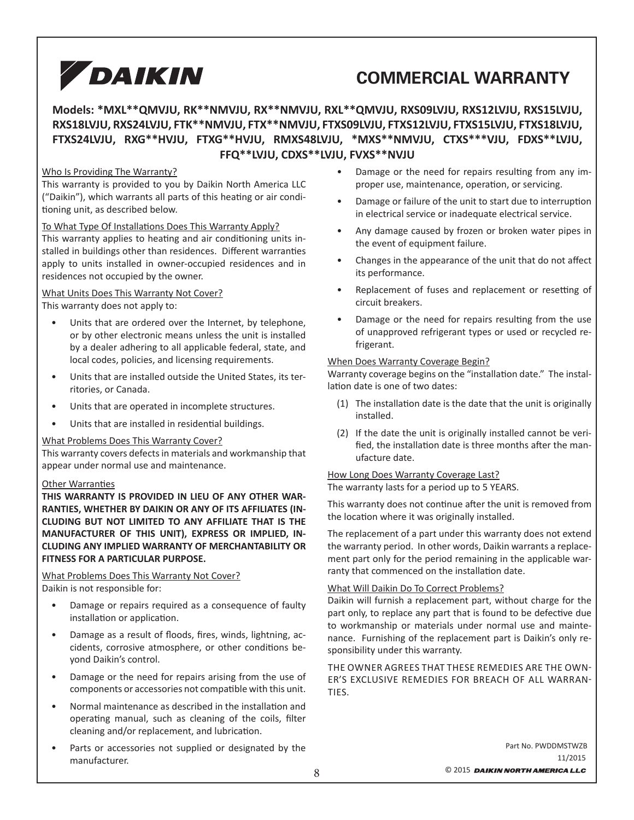# **COMMERCIAL WARRANTY**

### **Models: \*MXL\*\*QMVJU, RK\*\*NMVJU, RX\*\*NMVJU, RXL\*\*QMVJU, RXS09LVJU, RXS12LVJU, RXS15LVJU, RXS18LVJU, RXS24LVJU, FTK\*\*NMVJU, FTX\*\*NMVJU, FTXS09LVJU, FTXS12LVJU, FTXS15LVJU, FTXS18LVJU, FTXS24LVJU, RXG\*\*HVJU, FTXG\*\*HVJU, RMXS48LVJU, \*MXS\*\*NMVJU, CTXS\*\*\*VJU, FDXS\*\*LVJU, FFQ\*\*LVJU, CDXS\*\*LVJU, FVXS\*\*NVJU**

#### Who Is Providing The Warranty?

This warranty is provided to you by Daikin North America LLC ("Daikin"), which warrants all parts of this heating or air conditioning unit, as described below.

To What Type Of Installations Does This Warranty Apply?

This warranty applies to heating and air conditioning units installed in buildings other than residences. Different warranties apply to units installed in owner-occupied residences and in residences not occupied by the owner.

What Units Does This Warranty Not Cover? This warranty does not apply to:

- Units that are ordered over the Internet, by telephone, or by other electronic means unless the unit is installed by a dealer adhering to all applicable federal, state, and local codes, policies, and licensing requirements.
- Units that are installed outside the United States, its territories, or Canada.
- Units that are operated in incomplete structures.
- Units that are installed in residential buildings.

#### What Problems Does This Warranty Cover?

This warranty covers defects in materials and workmanship that appear under normal use and maintenance.

#### **Other Warranties**

**THIS WARRANTY IS PROVIDED IN LIEU OF ANY OTHER WAR-RANTIES, WHETHER BY DAIKIN OR ANY OF ITS AFFILIATES (IN-CLUDING BUT NOT LIMITED TO ANY AFFILIATE THAT IS THE MANUFACTURER OF THIS UNIT), EXPRESS OR IMPLIED, IN-CLUDING ANY IMPLIED WARRANTY OF MERCHANTABILITY OR FITNESS FOR A PARTICULAR PURPOSE.** 

#### What Problems Does This Warranty Not Cover? Daikin is not responsible for:

- Damage or repairs required as a consequence of faulty installation or application.
- Damage as a result of floods, fires, winds, lightning, accidents, corrosive atmosphere, or other conditions beyond Daikin's control.
- Damage or the need for repairs arising from the use of components or accessories not compatible with this unit.
- Normal maintenance as described in the installation and operating manual, such as cleaning of the coils, filter cleaning and/or replacement, and lubrication.
- Parts or accessories not supplied or designated by the manufacturer.
- Damage or the need for repairs resulting from any improper use, maintenance, operation, or servicing.
- Damage or failure of the unit to start due to interruption in electrical service or inadequate electrical service.
- Any damage caused by frozen or broken water pipes in the event of equipment failure.
- Changes in the appearance of the unit that do not affect its performance.
- Replacement of fuses and replacement or resetting of circuit breakers.
- Damage or the need for repairs resulting from the use of unapproved refrigerant types or used or recycled refrigerant.

#### When Does Warranty Coverage Begin?

Warranty coverage begins on the "installation date." The installation date is one of two dates:

- (1) The installation date is the date that the unit is originally installed.
- (2) If the date the unit is originally installed cannot be verified, the installation date is three months after the manufacture date.

#### How Long Does Warranty Coverage Last?

The warranty lasts for a period up to 5 YEARS.

This warranty does not continue after the unit is removed from the location where it was originally installed.

The replacement of a part under this warranty does not extend the warranty period. In other words, Daikin warrants a replacement part only for the period remaining in the applicable warranty that commenced on the installation date.

#### What Will Daikin Do To Correct Problems?

Daikin will furnish a replacement part, without charge for the part only, to replace any part that is found to be defective due to workmanship or materials under normal use and maintenance. Furnishing of the replacement part is Daikin's only responsibility under this warranty.

THE OWNER AGREES THAT THESE REMEDIES ARE THE OWN-ER'S EXCLUSIVE REMEDIES FOR BREACH OF ALL WARRAN-TIES.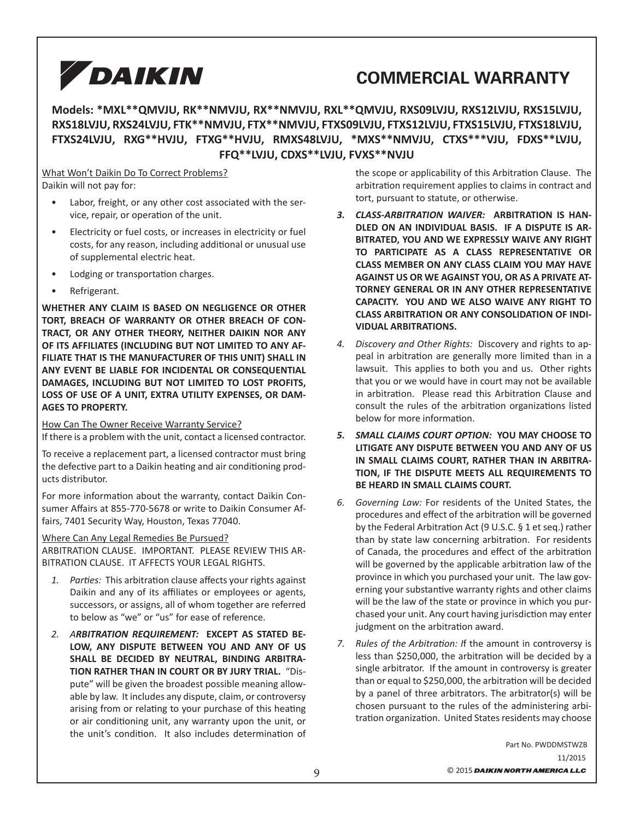# **COMMERCIAL WARRANTY**

**Models: \*MXL\*\*QMVJU, RK\*\*NMVJU, RX\*\*NMVJU, RXL\*\*QMVJU, RXS09LVJU, RXS12LVJU, RXS15LVJU, RXS18LVJU, RXS24LVJU, FTK\*\*NMVJU, FTX\*\*NMVJU, FTXS09LVJU, FTXS12LVJU, FTXS15LVJU, FTXS18LVJU, FTXS24LVJU, RXG\*\*HVJU, FTXG\*\*HVJU, RMXS48LVJU, \*MXS\*\*NMVJU, CTXS\*\*\*VJU, FDXS\*\*LVJU, FFQ\*\*LVJU, CDXS\*\*LVJU, FVXS\*\*NVJU**

What Won't Daikin Do To Correct Problems? Daikin will not pay for:

- Labor, freight, or any other cost associated with the service, repair, or operation of the unit.
- Electricity or fuel costs, or increases in electricity or fuel costs, for any reason, including additional or unusual use of supplemental electric heat.
- Lodging or transportation charges.
- Refrigerant.

**WHETHER ANY CLAIM IS BASED ON NEGLIGENCE OR OTHER TORT, BREACH OF WARRANTY OR OTHER BREACH OF CON-TRACT, OR ANY OTHER THEORY, NEITHER DAIKIN NOR ANY OF ITS AFFILIATES (INCLUDING BUT NOT LIMITED TO ANY AF-FILIATE THAT IS THE MANUFACTURER OF THIS UNIT) SHALL IN ANY EVENT BE LIABLE FOR INCIDENTAL OR CONSEQUENTIAL DAMAGES, INCLUDING BUT NOT LIMITED TO LOST PROFITS, LOSS OF USE OF A UNIT, EXTRA UTILITY EXPENSES, OR DAM-AGES TO PROPERTY.**

How Can The Owner Receive Warranty Service?

If there is a problem with the unit, contact a licensed contractor.

To receive a replacement part, a licensed contractor must bring the defective part to a Daikin heating and air conditioning products distributor.

For more information about the warranty, contact Daikin Consumer Affairs at 855-770-5678 or write to Daikin Consumer Affairs, 7401 Security Way, Houston, Texas 77040.

#### Where Can Any Legal Remedies Be Pursued?

ARBITRATION CLAUSE. IMPORTANT. PLEASE REVIEW THIS AR-BITRATION CLAUSE. IT AFFECTS YOUR LEGAL RIGHTS.

- 1. Parties: This arbitration clause affects your rights against Daikin and any of its affiliates or employees or agents, successors, or assigns, all of whom together are referred to below as "we" or "us" for ease of reference.
- *2. ARBITRATION REQUIREMENT:* **EXCEPT AS STATED BE-LOW, ANY DISPUTE BETWEEN YOU AND ANY OF US SHALL BE DECIDED BY NEUTRAL, BINDING ARBITRA-TION RATHER THAN IN COURT OR BY JURY TRIAL.** "Dispute" will be given the broadest possible meaning allowable by law. It includes any dispute, claim, or controversy arising from or relating to your purchase of this heating or air conditioning unit, any warranty upon the unit, or the unit's condition. It also includes determination of

the scope or applicability of this Arbitration Clause. The arbitration requirement applies to claims in contract and tort, pursuant to statute, or otherwise.

- *3. CLASS-ARBITRATION WAIVER:* **ARBITRATION IS HAN-DLED ON AN INDIVIDUAL BASIS. IF A DISPUTE IS AR-BITRATED, YOU AND WE EXPRESSLY WAIVE ANY RIGHT TO PARTICIPATE AS A CLASS REPRESENTATIVE OR CLASS MEMBER ON ANY CLASS CLAIM YOU MAY HAVE AGAINST US OR WE AGAINST YOU, OR AS A PRIVATE AT-TORNEY GENERAL OR IN ANY OTHER REPRESENTATIVE CAPACITY. YOU AND WE ALSO WAIVE ANY RIGHT TO CLASS ARBITRATION OR ANY CONSOLIDATION OF INDI-VIDUAL ARBITRATIONS.**
- *4. Discovery and Other Rights:* Discovery and rights to appeal in arbitration are generally more limited than in a lawsuit. This applies to both you and us. Other rights that you or we would have in court may not be available in arbitration. Please read this Arbitration Clause and consult the rules of the arbitration organizations listed below for more information.
- *5. SMALL CLAIMS COURT OPTION:* **YOU MAY CHOOSE TO LITIGATE ANY DISPUTE BETWEEN YOU AND ANY OF US IN SMALL CLAIMS COURT, RATHER THAN IN ARBITRA-TION, IF THE DISPUTE MEETS ALL REQUIREMENTS TO BE HEARD IN SMALL CLAIMS COURT.**
- *6. Governing Law:* For residents of the United States, the procedures and effect of the arbitration will be governed by the Federal Arbitration Act (9 U.S.C.  $\S$  1 et seq.) rather than by state law concerning arbitration. For residents of Canada, the procedures and effect of the arbitration will be governed by the applicable arbitration law of the province in which you purchased your unit. The law governing your substantive warranty rights and other claims will be the law of the state or province in which you purchased your unit. Any court having jurisdiction may enter judgment on the arbitration award.
- *7.* Rules of the Arbitration: If the amount in controversy is less than \$250,000, the arbitration will be decided by a single arbitrator. If the amount in controversy is greater than or equal to \$250,000, the arbitration will be decided by a panel of three arbitrators. The arbitrator(s) will be chosen pursuant to the rules of the administering arbitration organization. United States residents may choose